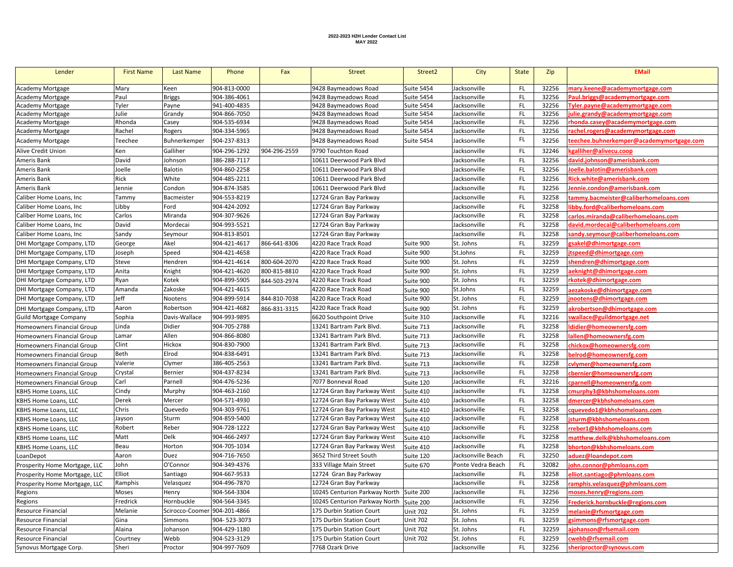## **2022-2023 H2H Lender Contact List MAY 2022**

| Lender                            | <b>First Name</b> | Last Name                    | Phone        | Fax          | <b>Street</b>                           | Street <sub>2</sub> | City               | <b>State</b> | Zip   | <b>EMail</b>                             |
|-----------------------------------|-------------------|------------------------------|--------------|--------------|-----------------------------------------|---------------------|--------------------|--------------|-------|------------------------------------------|
| Academy Mortgage                  | Mary              | Keen                         | 904-813-0000 |              | 9428 Baymeadows Road                    | <b>Suite 5454</b>   | Jacksonville       | FL           | 32256 | mary.keene@academymortgage.com           |
| Academy Mortgage                  | Paul              | <b>Briggs</b>                | 904-386-4061 |              | 9428 Baymeadows Road                    | <b>Suite 5454</b>   | Jacksonville       | FL           | 32256 | Paul.briggs@academymortgage.com          |
| Academy Mortgage                  | Tyler             | Payne                        | 941-400-4835 |              | 9428 Baymeadows Road                    | <b>Suite 5454</b>   | Jacksonville       | FL           | 32256 | Tyler.payne@academymortgage.com          |
| Academy Mortgage                  | Julie             | Grandy                       | 904-866-7050 |              | 9428 Baymeadows Road                    | <b>Suite 5454</b>   | Jacksonville       | FL           | 32256 | ulie.grandy@academymortgage.com          |
| Academy Mortgage                  | Rhonda            | Casey                        | 904-535-6934 |              | 9428 Baymeadows Road                    | Suite 5454          | Jacksonville       | FL           | 32256 | rhonda.casey@academymortgage.com         |
| Academy Mortgage                  | Rachel            | Rogers                       | 904-334-5965 |              | 9428 Baymeadows Road                    | <b>Suite 5454</b>   | Jacksonville       | FL           | 32256 | rachel.rogers@academymortgage.com        |
| Academy Mortgage                  | Teechee           | Buhnerkemper                 | 904-237-8313 |              | 9428 Baymeadows Road                    | <b>Suite 5454</b>   | Jacksonville       | FL           | 32256 | :eechee.buhnerkemper@academymortgage.com |
| Alive Credit Union                | Ken               | Galliher                     | 904-296-1292 | 904-296-2559 | 9790 Touchton Road                      |                     | Jacksonville       | FL           | 32246 | kgalliher@alivecu.coop                   |
| Ameris Bank                       | David             | Johnson                      | 386-288-7117 |              | 10611 Deerwood Park Blyd                |                     | Jacksonville       | FL           | 32256 | david.johnson@amerisbank.com             |
| Ameris Bank                       | Joelle            | Balotin                      | 904-860-2258 |              | 10611 Deerwood Park Blvd                |                     | Jacksonville       | FL           | 32256 | loelle.balotin@amerisbank.com            |
| Ameris Bank                       | Rick              | White                        | 904-485-2211 |              | 10611 Deerwood Park Blyd                |                     | Jacksonville       | FL           | 32256 | <u>Rick.white@amerisbank.com</u>         |
| Ameris Bank                       | Jennie            | Condon                       | 904-874-3585 |              | 10611 Deerwood Park Blvd                |                     | Jacksonville       | FL           | 32256 | lennie.condon@amerisbank.com             |
| Caliber Home Loans, Inc.          | Tammy             | Bacmeister                   | 904-553-8219 |              | 12724 Gran Bay Parkway                  |                     | Jacksonville       | FL           | 32258 | cammy.bacmeister@caliberhomeloans.com    |
| Caliber Home Loans, Inc.          | Libby             | Ford                         | 904-424-2092 |              | 12724 Gran Bay Parkway                  |                     | Jacksonville       | FL           | 32258 | ibby.ford@caliberhomeloans.com           |
| Caliber Home Loans, Inc           | Carlos            | Miranda                      | 904-307-9626 |              | 12724 Gran Bay Parkway                  |                     | Jacksonville       | FL           | 32258 | carlos.miranda@caliberhomeloans.com      |
| Caliber Home Loans, Inc           | David             | Mordecai                     | 904-993-5521 |              | 12724 Gran Bay Parkway                  |                     | Jacksonville       | FL           | 32258 | david.mordecai@caliberhomeloans.com      |
| Caliber Home Loans, Inc.          | Sandy             | Seymour                      | 904-813-8501 |              | 12724 Gran Bay Parkway                  |                     | Jacksonville       | FL           | 32258 | sandy.seymour@caliberhomeloans.com       |
| DHI Mortgage Company, LTD         | George            | Akel                         | 904-421-4617 | 866-641-8306 | 4220 Race Track Road                    | Suite 900           | St. Johns          | <b>FL</b>    | 32259 | gsakel@dhimortgage.com                   |
| DHI Mortgage Company, LTD         | Joseph            | Speed                        | 904-421-4658 |              | 4220 Race Track Road                    | Suite 900           | St.Johns           | FL           | 32259 | tspeed@dhimortgage.com                   |
| DHI Mortgage Company, LTD         | Steve             | Hendren                      | 904-421-4614 | 800-604-2070 | 4220 Race Track Road                    | Suite 900           | St. Johns          | FL           | 32259 | shendren@dhimortgage.com                 |
| DHI Mortgage Company, LTD         | Anita             | Knight                       | 904-421-4620 | 800-815-8810 | 4220 Race Track Road                    | Suite 900           | St. Johns          | FL           | 32259 | aeknight@dhimortgage.com                 |
| DHI Mortgage Company, LTD         | Ryan              | Kotek                        | 904-899-5905 | 844-503-2974 | 4220 Race Track Road                    | Suite 900           | St. Johns          | FL           | 32259 | rkotek@dhimortgage.com                   |
| DHI Mortgage Company, LTD         | Amanda            | Zakoske                      | 904-421-4615 |              | 4220 Race Track Road                    | Suite 900           | St.Johns           | FL           | 32259 | ezakoske@dhimortgage.com                 |
| DHI Mortgage Company, LTD         | Jeff              | Nootens                      | 904-899-5914 | 844-810-7038 | 4220 Race Track Road                    | Suite 900           | St. Johns          | FL           | 32259 | inootens@dhimortgage.com                 |
| DHI Mortgage Company, LTD         | Aaron             | Robertson                    | 904-421-4682 | 866-831-3315 | 4220 Race Track Road                    | Suite 900           | St. Johns          | FL           | 32259 | akrobertson@dhimortgage.com              |
| <b>Guild Mortgage Company</b>     | Sophia            | Davis-Wallace                | 904-993-9895 |              | 6620 Southpoint Drive                   | Suite 310           | Jacksonville       | FL           | 32216 | swallace@guildmortgage.net               |
| <b>Homeowners Financial Group</b> | Linda             | Didier                       | 904-705-2788 |              | 13241 Bartram Park Blvd.                | Suite 713           | Jacksonville       | FL           | 32258 | didier@homeownersfg.com                  |
| Homeowners Financial Group        | Lamar             | Allen                        | 904-866-8080 |              | 13241 Bartram Park Blvd.                | Suite 713           | Jacksonville       | FL           | 32258 | allen@homeownersfg.com                   |
| Homeowners Financial Group        | Clint             | Hickox                       | 904-830-7900 |              | 13241 Bartram Park Blvd.                | Suite 713           | Jacksonville       | FL           | 32258 | chickox@homeownersfg.com                 |
| Homeowners Financial Group        | Beth              | Elrod                        | 904-838-6491 |              | 13241 Bartram Park Blvd.                | Suite 713           | Jacksonville       | FL           | 32258 | belrod@homeownersfg.com                  |
| Homeowners Financial Group        | Valerie           | Clymer                       | 386-405-2563 |              | 13241 Bartram Park Blvd.                | Suite 713           | Jacksonville       | FL           | 32258 | cvlymer@homeownersfg.com                 |
| Homeowners Financial Group        | Crystal           | Bernier                      | 904-437-8234 |              | 13241 Bartram Park Blvd.                | Suite 713           | Jacksonville       | FL           | 32258 | cbernier@homeownersfg.com                |
| Homeowners Financial Group        | Carl              | Parnell                      | 904-476-5236 |              | 7077 Bonneval Road                      | Suite 120           | Jacksonville       | FL           | 32216 | cparnell@homeownersfg.com                |
| KBHS Home Loans, LLC              | Cindy             | Murphy                       | 904-463-2160 |              | 12724 Gran Bay Parkway West             | Suite 410           | Jacksonville       | FL           | 32258 | :murphy3@kbhshomeloans.com               |
| KBHS Home Loans, LLC              | Derek             | Mercer                       | 904-571-4930 |              | 12724 Gran Bay Parkway West             | Suite 410           | Jacksonville       | FL           | 32258 | dmercer@kbhshomeloans.com                |
| KBHS Home Loans, LLC              | Chris             | Quevedo                      | 904-303-9761 |              | 12724 Gran Bay Parkway West             | Suite 410           | Jacksonville       | FL           | 32258 | cquevedo1@kbhshomeloans.com              |
| KBHS Home Loans, LLC              | Jayson            | Sturm                        | 904-859-5400 |              | 12724 Gran Bay Parkway West             | Suite 410           | Jacksonville       | FL           | 32258 | sturm@kbhshomeloans.com                  |
| KBHS Home Loans, LLC              | Robert            | Reber                        | 904-728-1222 |              | 12724 Gran Bay Parkway West             | Suite 410           | Jacksonville       | FL           | 32258 | reber1@kbhshomeloans.com                 |
| KBHS Home Loans, LLC              | Matt              | Delk                         | 904-466-2497 |              | 12724 Gran Bay Parkway West             | Suite 410           | Jacksonville       | FL           | 32258 | matthew.delk@kbhshomeloans.com           |
| KBHS Home Loans, LLC              | Beau              | Horton                       | 904-705-1034 |              | 12724 Gran Bay Parkway West             | Suite 410           | Jacksonville       | FL           | 32258 | bhorton@kbhshomeloans.com                |
| LoanDepot                         | Aaron             | Duez                         | 904-716-7650 |              | 3652 Third Street South                 | Suite 120           | Jacksonville Beach | FL           | 32250 | aduez@loandepot.com                      |
| Prosperity Home Mortgage, LLC     | John              | O'Connor                     | 904-349-4376 |              | 333 Village Main Street                 | Suite 670           | Ponte Vedra Beach  | FL           | 32082 | ohn.connor@phmloans.com                  |
| Prosperity Home Mortgage, LLC     | Elliot            | Santiago                     | 904-667-9533 |              | 12724 Gran Bay Parkway                  |                     | Jacksonville       | FL           | 32258 | elliot.santiago@phmloans.com             |
| Prosperity Home Mortgage, LLC     | Ramphis           | Velasquez                    | 904-496-7870 |              | 12724 Gran Bay Parkway                  |                     | Jacksonville       | FL           | 32258 | ramphis.velasquez@phmioans.com           |
| Regions                           | Moses             | Henry                        | 904-564-3304 |              | 10245 Centurion Parkway North Suite 200 |                     | Jacksonville       | FL           | 32256 | moses.henry@regions.com                  |
| Regions                           | Fredrick          | Hornbuckle                   | 904-564-3345 |              | 10245 Centurion Parkway North Suite 200 |                     | Jacksonville       | FL           | 32256 | Frederick.hornbuckle@regions.com         |
| Resource Financial                | Melanie           | Scirocco-Coomer 904-201-4866 |              |              | 175 Durbin Station Court                | <b>Unit 702</b>     | St. Johns          | FL           | 32259 | melanie@rfsmortgage.com                  |
| Resource Financial                | Gina              | Simmons                      | 904-523-3073 |              | 175 Durbin Station Court                | <b>Unit 702</b>     | St. Johns          | FL           | 32259 | gsimmons@rfsmortgage.com                 |
| Resource Financial                | Alaina            | Johanson                     | 904-429-1180 |              | 175 Durbin Station Court                | <b>Unit 702</b>     | St. Johns          | <b>FL</b>    | 32259 | ajohanson@rfsemail.com                   |
| Resource Financial                | Courtney          | Webb                         | 904-523-3129 |              | 175 Durbin Station Court                | <b>Unit 702</b>     | St. Johns          | FL           | 32259 | webb@rfsemail.com                        |
| Synovus Mortgage Corp.            | Sheri             | Proctor                      | 904-997-7609 |              | 7768 Ozark Drive                        |                     | Jacksonville       | FL           | 32256 | sheriproctor@synovus.com                 |